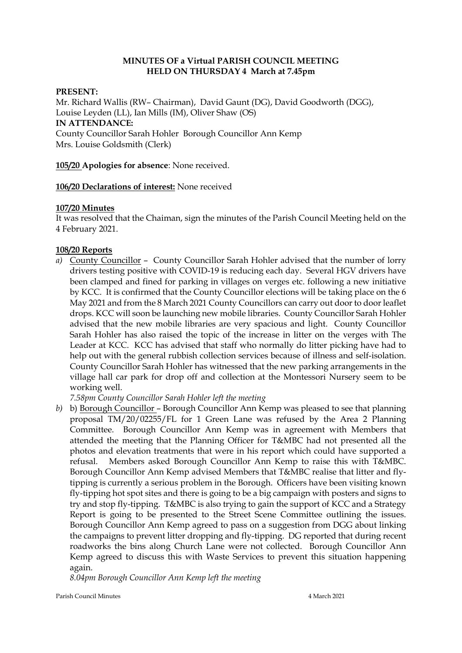# **MINUTES OF a Virtual PARISH COUNCIL MEETING HELD ON THURSDAY 4 March at 7.45pm**

#### **PRESENT:**

Mr. Richard Wallis (RW– Chairman), David Gaunt (DG), David Goodworth (DGG), Louise Leyden (LL), Ian Mills (IM), Oliver Shaw (OS) **IN ATTENDANCE:**  County Councillor Sarah Hohler Borough Councillor Ann Kemp Mrs. Louise Goldsmith (Clerk)

**105/20 Apologies for absence**: None received.

#### **106/20 Declarations of interest:** None received

#### **107/20 Minutes**

It was resolved that the Chaiman, sign the minutes of the Parish Council Meeting held on the 4 February 2021.

#### **108/20 Reports**

*a)* County Councillor – County Councillor Sarah Hohler advised that the number of lorry drivers testing positive with COVID-19 is reducing each day. Several HGV drivers have been clamped and fined for parking in villages on verges etc. following a new initiative by KCC. It is confirmed that the County Councillor elections will be taking place on the 6 May 2021 and from the 8 March 2021 County Councillors can carry out door to door leaflet drops. KCC will soon be launching new mobile libraries. County Councillor Sarah Hohler advised that the new mobile libraries are very spacious and light. County Councillor Sarah Hohler has also raised the topic of the increase in litter on the verges with The Leader at KCC. KCC has advised that staff who normally do litter picking have had to help out with the general rubbish collection services because of illness and self-isolation. County Councillor Sarah Hohler has witnessed that the new parking arrangements in the village hall car park for drop off and collection at the Montessori Nursery seem to be working well.

*7.58pm County Councillor Sarah Hohler left the meeting*

*b)* b) Borough Councillor – Borough Councillor Ann Kemp was pleased to see that planning proposal TM/20/02255/FL for 1 Green Lane was refused by the Area 2 Planning Committee. Borough Councillor Ann Kemp was in agreement with Members that attended the meeting that the Planning Officer for T&MBC had not presented all the photos and elevation treatments that were in his report which could have supported a refusal. Members asked Borough Councillor Ann Kemp to raise this with T&MBC. Borough Councillor Ann Kemp advised Members that T&MBC realise that litter and flytipping is currently a serious problem in the Borough. Officers have been visiting known fly-tipping hot spot sites and there is going to be a big campaign with posters and signs to try and stop fly-tipping. T&MBC is also trying to gain the support of KCC and a Strategy Report is going to be presented to the Street Scene Committee outlining the issues. Borough Councillor Ann Kemp agreed to pass on a suggestion from DGG about linking the campaigns to prevent litter dropping and fly-tipping. DG reported that during recent roadworks the bins along Church Lane were not collected. Borough Councillor Ann Kemp agreed to discuss this with Waste Services to prevent this situation happening again.

*8.04pm Borough Councillor Ann Kemp left the meeting*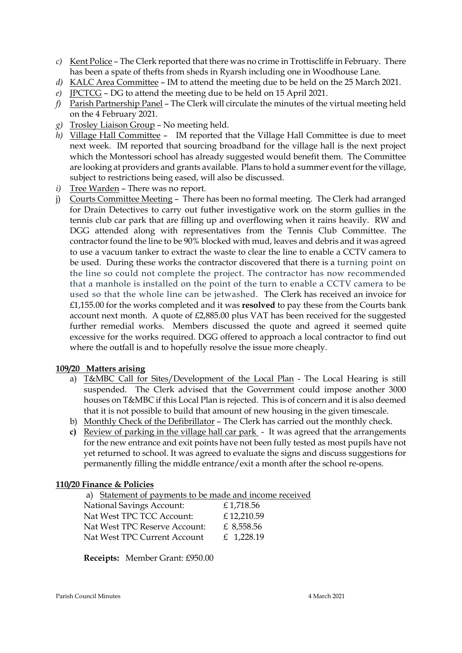- *c)* Kent Police The Clerk reported that there was no crime in Trottiscliffe in February. There has been a spate of thefts from sheds in Ryarsh including one in Woodhouse Lane.
- *d)* KALC Area Committee IM to attend the meeting due to be held on the 25 March 2021.
- *e)* JPCTCG DG to attend the meeting due to be held on 15 April 2021.
- *f)* Parish Partnership Panel The Clerk will circulate the minutes of the virtual meeting held on the 4 February 2021.
- *g)* Trosley Liaison Group No meeting held.
- *h)* Village Hall Committee IM reported that the Village Hall Committee is due to meet next week. IM reported that sourcing broadband for the village hall is the next project which the Montessori school has already suggested would benefit them. The Committee are looking at providers and grants available. Plans to hold a summer event for the village, subject to restrictions being eased, will also be discussed.
- *i)* Tree Warden There was no report.
- j) Courts Committee Meeting There has been no formal meeting. The Clerk had arranged for Drain Detectives to carry out futher investigative work on the storm gullies in the tennis club car park that are filling up and overflowing when it rains heavily. RW and DGG attended along with representatives from the Tennis Club Committee. The contractor found the line to be 90% blocked with mud, leaves and debris and it was agreed to use a vacuum tanker to extract the waste to clear the line to enable a CCTV camera to be used. During these works the contractor discovered that there is a turning point on the line so could not complete the project. The contractor has now recommended that a manhole is installed on the point of the turn to enable a CCTV camera to be used so that the whole line can be jetwashed. The Clerk has received an invoice for £1,155.00 for the works completed and it was **resolved** to pay these from the Courts bank account next month. A quote of £2,885.00 plus VAT has been received for the suggested further remedial works. Members discussed the quote and agreed it seemed quite excessive for the works required. DGG offered to approach a local contractor to find out where the outfall is and to hopefully resolve the issue more cheaply.

# **109/20 Matters arising**

- a) T&MBC Call for Sites/Development of the Local Plan The Local Hearing is still suspended. The Clerk advised that the Government could impose another 3000 houses on T&MBC if this Local Plan is rejected. This is of concern and it is also deemed that it is not possible to build that amount of new housing in the given timescale.
- b) Monthly Check of the Defibrillator The Clerk has carried out the monthly check.
- **c)** Review of parking in the village hall car park It was agreed that the arrangements for the new entrance and exit points have not been fully tested as most pupils have not yet returned to school. It was agreed to evaluate the signs and discuss suggestions for permanently filling the middle entrance/exit a month after the school re-opens.

# **110/20 Finance & Policies**

| a) Statement of payments to be made and income received |              |
|---------------------------------------------------------|--------------|
| <b>National Savings Account:</b>                        | £1,718.56    |
| Nat West TPC TCC Account:                               | £12,210.59   |
| Nat West TPC Reserve Account:                           | £ 8,558.56   |
| Nat West TPC Current Account                            | £ $1,228.19$ |
|                                                         |              |

**Receipts:** Member Grant: £950.00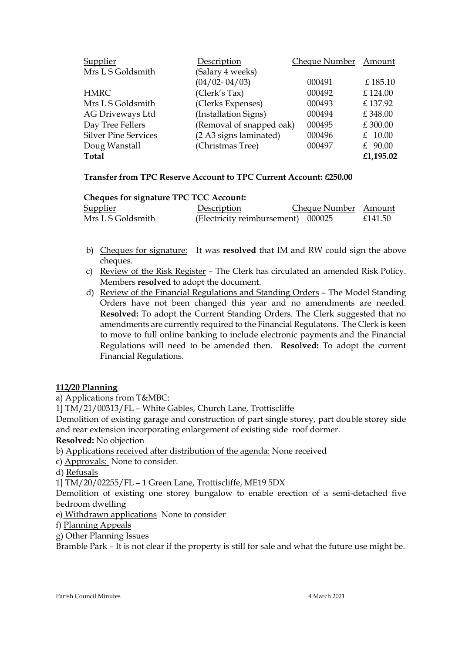| Supplier                    | Description              | Cheque Number | Amount    |
|-----------------------------|--------------------------|---------------|-----------|
| Mrs L S Goldsmith           | (Salary 4 weeks)         |               |           |
|                             | $(04/02 - 04/03)$        | 000491        | £185.10   |
| <b>HMRC</b>                 | (Clerk's Tax)            | 000492        | £124.00   |
| Mrs L S Goldsmith           | (Clerks Expenses)        | 000493        | £137.92   |
| AG Driveways Ltd            | (Installation Signs)     | 000494        | £348.00   |
| Day Tree Fellers            | (Removal of snapped oak) | 000495        | £300.00   |
| <b>Silver Pine Services</b> | (2 A3 signs laminated)   | 000496        | £ 10.00   |
| Doug Wanstall               | (Christmas Tree)         | 000497        | £ $90.00$ |
| <b>Total</b>                |                          |               | £1,195.02 |

# **Transfer from TPC Reserve Account to TPC Current Account: £250.00**

# **Cheques for signature TPC TCC Account:**

| <b>Supplier</b>   | Description                        | Cheque Number Amount |         |
|-------------------|------------------------------------|----------------------|---------|
| Mrs L S Goldsmith | (Electricity reimbursement) 000025 |                      | £141.50 |

- b) Cheques for signature: It was **resolved** that IM and RW could sign the above cheques.
- c) Review of the Risk Register The Clerk has circulated an amended Risk Policy. Members **resolved** to adopt the document.
- d) Review of the Financial Regulations and Standing Orders The Model Standing Orders have not been changed this year and no amendments are needed. **Resolved:** To adopt the Current Standing Orders. The Clerk suggested that no amendments are currently required to the Financial Regulatons. The Clerk is keen to move to full online banking to include electronic payments and the Financial Regulations will need to be amended then. **Resolved:** To adopt the current Financial Regulations.

# **112/20 Planning**

a) Applications from T&MBC:

1] TM/21/00313/FL – White Gables, Church Lane, Trottiscliffe

Demolition of existing garage and construction of part single storey, part double storey side and rear extension incorporating enlargement of existing side roof dormer.

**Resolved:** No objection

b) Applications received after distribution of the agenda: None received

c) Approvals: None to consider.

d) Refusals

1] TM/20/02255/FL – 1 Green Lane, Trottiscliffe, ME19 5DX

Demolition of existing one storey bungalow to enable erection of a semi-detached five bedroom dwelling

e) Withdrawn applications None to consider

f) Planning Appeals

g) Other Planning Issues

Bramble Park – It is not clear if the property is still for sale and what the future use might be.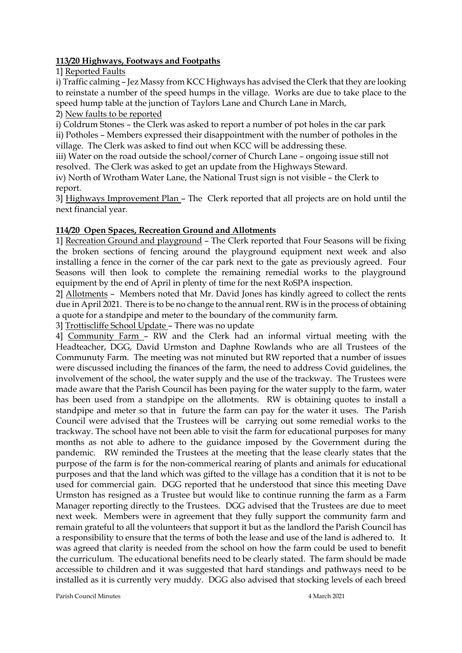#### **113/20 Highways, Footways and Footpaths**

1] Reported Faults

i) Traffic calming – Jez Massy from KCC Highways has advised the Clerk that they are looking to reinstate a number of the speed humps in the village. Works are due to take place to the speed hump table at the junction of Taylors Lane and Church Lane in March,

2) New faults to be reported

i) Coldrum Stones – the Clerk was asked to report a number of pot holes in the car park

ii) Potholes – Members expressed their disappointment with the number of potholes in the village. The Clerk was asked to find out when KCC will be addressing these.

iii) Water on the road outside the school/corner of Church Lane – ongoing issue still not resolved. The Clerk was asked to get an update from the Highways Steward.

iv) North of Wrotham Water Lane, the National Trust sign is not visible – the Clerk to report.

3] Highways Improvement Plan – The Clerk reported that all projects are on hold until the next financial year.

# **114/20 Open Spaces, Recreation Ground and Allotments**

1] Recreation Ground and playground – The Clerk reported that Four Seasons will be fixing the broken sections of fencing around the playground equipment next week and also installing a fence in the corner of the car park next to the gate as previously agreed. Four Seasons will then look to complete the remaining remedial works to the playground equipment by the end of April in plenty of time for the next RoSPA inspection.

2] Allotments – Members noted that Mr. David Jones has kindly agreed to collect the rents due in April 2021. There is to be no change to the annual rent. RW is in the process of obtaining a quote for a standpipe and meter to the boundary of the community farm.

3] Trottiscliffe School Update – There was no update

4] Community Farm – RW and the Clerk had an informal virtual meeting with the Headteacher, DGG, David Urmston and Daphne Rowlands who are all Trustees of the Communuty Farm. The meeting was not minuted but RW reported that a number of issues were discussed including the finances of the farm, the need to address Covid guidelines, the involvement of the school, the water supply and the use of the trackway. The Trustees were made aware that the Parish Council has been paying for the water supply to the farm, water has been used from a standpipe on the allotments. RW is obtaining quotes to install a standpipe and meter so that in future the farm can pay for the water it uses. The Parish Council were advised that the Trustees will be carrying out some remedial works to the trackway. The school have not been able to visit the farm for educational purposes for many months as not able to adhere to the guidance imposed by the Government during the pandemic. RW reminded the Trustees at the meeting that the lease clearly states that the purpose of the farm is for the non-commerical rearing of plants and animals for educational purposes and that the land which was gifted to the village has a condition that it is not to be used for commercial gain. DGG reported that he understood that since this meeting Dave Urmston has resigned as a Trustee but would like to continue running the farm as a Farm Manager reporting directly to the Trustees. DGG advised that the Trustees are due to meet next week. Members were in agreement that they fully support the community farm and remain grateful to all the volunteers that support it but as the landlord the Parish Council has a responsibility to ensure that the terms of both the lease and use of the land is adhered to. It was agreed that clarity is needed from the school on how the farm could be used to benefit the curriculum. The educational benefits need to be clearly stated. The farm should be made accessible to children and it was suggested that hard standings and pathways need to be installed as it is currently very muddy. DGG also advised that stocking levels of each breed